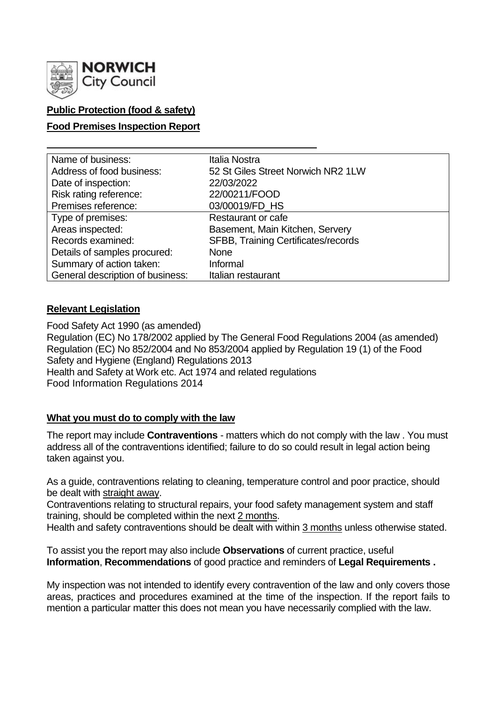

# **Public Protection (food & safety)**

### **Food Premises Inspection Report**

| Name of business:                | Italia Nostra                       |
|----------------------------------|-------------------------------------|
| Address of food business:        | 52 St Giles Street Norwich NR2 1LW  |
| Date of inspection:              | 22/03/2022                          |
| Risk rating reference:           | 22/00211/FOOD                       |
| Premises reference:              | 03/00019/FD_HS                      |
| Type of premises:                | <b>Restaurant or cafe</b>           |
| Areas inspected:                 | Basement, Main Kitchen, Servery     |
| Records examined:                | SFBB, Training Certificates/records |
| Details of samples procured:     | <b>None</b>                         |
| Summary of action taken:         | Informal                            |
| General description of business: | Italian restaurant                  |

### **Relevant Legislation**

Food Safety Act 1990 (as amended) Regulation (EC) No 178/2002 applied by The General Food Regulations 2004 (as amended) Regulation (EC) No 852/2004 and No 853/2004 applied by Regulation 19 (1) of the Food Safety and Hygiene (England) Regulations 2013 Health and Safety at Work etc. Act 1974 and related regulations Food Information Regulations 2014

### **What you must do to comply with the law**

The report may include **Contraventions** - matters which do not comply with the law . You must address all of the contraventions identified; failure to do so could result in legal action being taken against you.

As a guide, contraventions relating to cleaning, temperature control and poor practice, should be dealt with straight away.

Contraventions relating to structural repairs, your food safety management system and staff training, should be completed within the next 2 months.

Health and safety contraventions should be dealt with within 3 months unless otherwise stated.

To assist you the report may also include **Observations** of current practice, useful **Information**, **Recommendations** of good practice and reminders of **Legal Requirements .**

My inspection was not intended to identify every contravention of the law and only covers those areas, practices and procedures examined at the time of the inspection. If the report fails to mention a particular matter this does not mean you have necessarily complied with the law.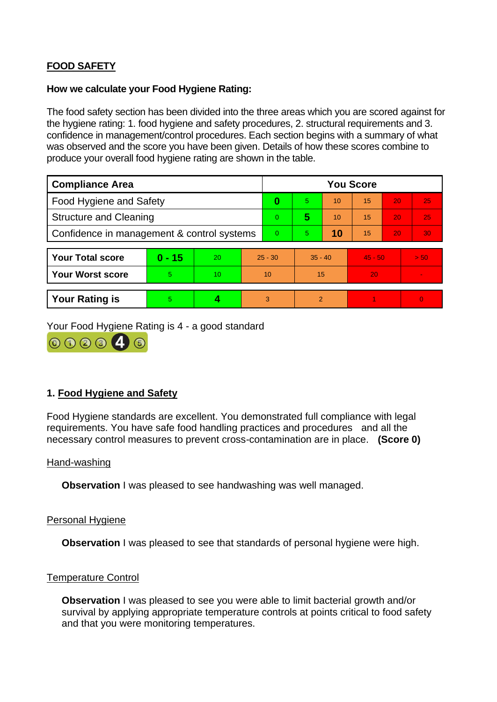# **FOOD SAFETY**

### **How we calculate your Food Hygiene Rating:**

The food safety section has been divided into the three areas which you are scored against for the hygiene rating: 1. food hygiene and safety procedures, 2. structural requirements and 3. confidence in management/control procedures. Each section begins with a summary of what was observed and the score you have been given. Details of how these scores combine to produce your overall food hygiene rating are shown in the table.

| <b>Compliance Area</b>                     |          |    | <b>You Score</b> |    |               |    |           |                 |          |
|--------------------------------------------|----------|----|------------------|----|---------------|----|-----------|-----------------|----------|
| Food Hygiene and Safety                    |          |    | $\bf{0}$         | 5. | 10            | 15 | 20        | 25              |          |
| <b>Structure and Cleaning</b>              |          |    | 0                | 5  | 10            | 15 | 20        | 25              |          |
| Confidence in management & control systems |          |    | 0                | 5. | 10            | 15 | 20        | 30 <sub>1</sub> |          |
|                                            |          |    |                  |    |               |    |           |                 |          |
| <b>Your Total score</b>                    | $0 - 15$ | 20 | $25 - 30$        |    | $35 - 40$     |    | $45 - 50$ |                 | $>$ 50.  |
| <b>Your Worst score</b>                    | 5        | 10 | 10               |    | 15            |    | 20        |                 |          |
|                                            |          |    |                  |    |               |    |           |                 |          |
| <b>Your Rating is</b>                      | 5        |    |                  | 3  | $\mathcal{P}$ |    |           |                 | $\Omega$ |

Your Food Hygiene Rating is 4 - a good standard



### **1. Food Hygiene and Safety**

Food Hygiene standards are excellent. You demonstrated full compliance with legal requirements. You have safe food handling practices and procedures and all the necessary control measures to prevent cross-contamination are in place. **(Score 0)**

#### Hand-washing

**Observation** I was pleased to see handwashing was well managed.

#### Personal Hygiene

**Observation** I was pleased to see that standards of personal hygiene were high.

### Temperature Control

**Observation** I was pleased to see you were able to limit bacterial growth and/or survival by applying appropriate temperature controls at points critical to food safety and that you were monitoring temperatures.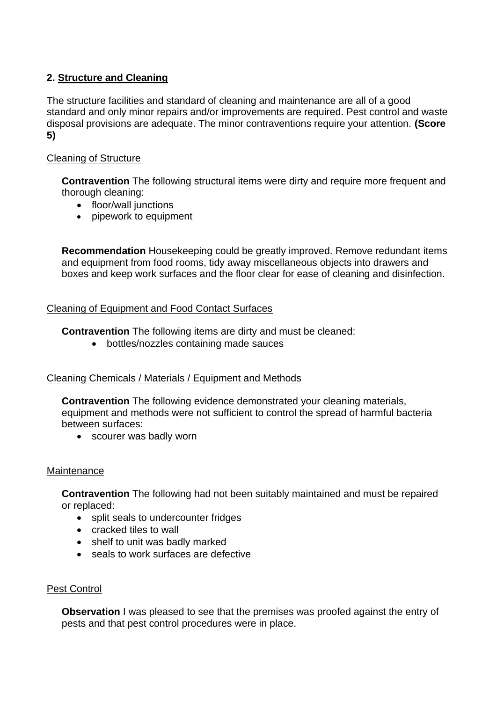# **2. Structure and Cleaning**

The structure facilities and standard of cleaning and maintenance are all of a good standard and only minor repairs and/or improvements are required. Pest control and waste disposal provisions are adequate. The minor contraventions require your attention. **(Score 5)**

## Cleaning of Structure

**Contravention** The following structural items were dirty and require more frequent and thorough cleaning:

- floor/wall junctions
- pipework to equipment

**Recommendation** Housekeeping could be greatly improved. Remove redundant items and equipment from food rooms, tidy away miscellaneous objects into drawers and boxes and keep work surfaces and the floor clear for ease of cleaning and disinfection.

### Cleaning of Equipment and Food Contact Surfaces

**Contravention** The following items are dirty and must be cleaned:

• bottles/nozzles containing made sauces

# Cleaning Chemicals / Materials / Equipment and Methods

**Contravention** The following evidence demonstrated your cleaning materials, equipment and methods were not sufficient to control the spread of harmful bacteria between surfaces:

• scourer was badly worn

### **Maintenance**

**Contravention** The following had not been suitably maintained and must be repaired or replaced:

- split seals to undercounter fridges
- cracked tiles to wall
- shelf to unit was badly marked
- seals to work surfaces are defective

# Pest Control

**Observation** I was pleased to see that the premises was proofed against the entry of pests and that pest control procedures were in place.